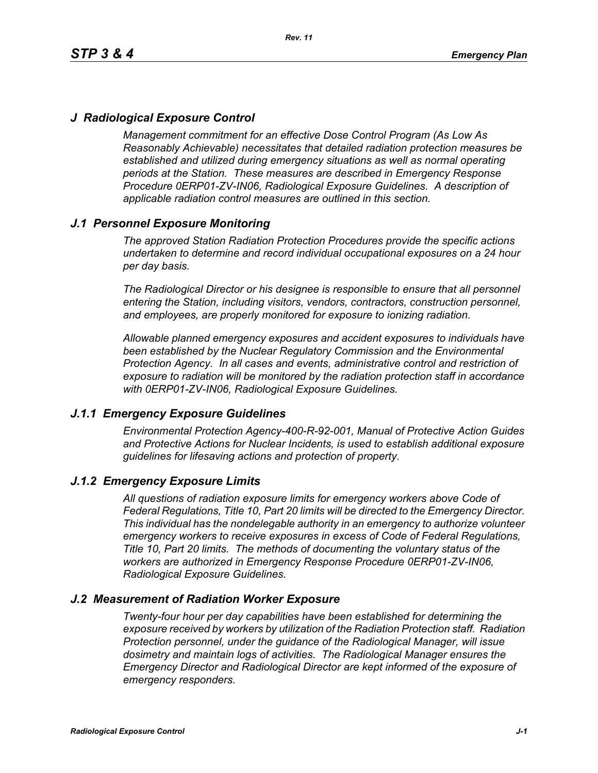# *J Radiological Exposure Control*

*Management commitment for an effective Dose Control Program (As Low As Reasonably Achievable) necessitates that detailed radiation protection measures be established and utilized during emergency situations as well as normal operating periods at the Station. These measures are described in Emergency Response Procedure 0ERP01-ZV-IN06, Radiological Exposure Guidelines. A description of applicable radiation control measures are outlined in this section.*

# *J.1 Personnel Exposure Monitoring*

*The approved Station Radiation Protection Procedures provide the specific actions undertaken to determine and record individual occupational exposures on a 24 hour per day basis.*

*The Radiological Director or his designee is responsible to ensure that all personnel entering the Station, including visitors, vendors, contractors, construction personnel, and employees, are properly monitored for exposure to ionizing radiation.*

*Allowable planned emergency exposures and accident exposures to individuals have been established by the Nuclear Regulatory Commission and the Environmental Protection Agency. In all cases and events, administrative control and restriction of exposure to radiation will be monitored by the radiation protection staff in accordance with 0ERP01-ZV-IN06, Radiological Exposure Guidelines.*

### *J.1.1 Emergency Exposure Guidelines*

*Environmental Protection Agency-400-R-92-001, Manual of Protective Action Guides and Protective Actions for Nuclear Incidents, is used to establish additional exposure guidelines for lifesaving actions and protection of property.*

### *J.1.2 Emergency Exposure Limits*

*All questions of radiation exposure limits for emergency workers above Code of Federal Regulations, Title 10, Part 20 limits will be directed to the Emergency Director. This individual has the nondelegable authority in an emergency to authorize volunteer emergency workers to receive exposures in excess of Code of Federal Regulations, Title 10, Part 20 limits. The methods of documenting the voluntary status of the workers are authorized in Emergency Response Procedure 0ERP01-ZV-IN06, Radiological Exposure Guidelines.*

### *J.2 Measurement of Radiation Worker Exposure*

*Twenty-four hour per day capabilities have been established for determining the exposure received by workers by utilization of the Radiation Protection staff. Radiation Protection personnel, under the guidance of the Radiological Manager, will issue dosimetry and maintain logs of activities. The Radiological Manager ensures the Emergency Director and Radiological Director are kept informed of the exposure of emergency responders.*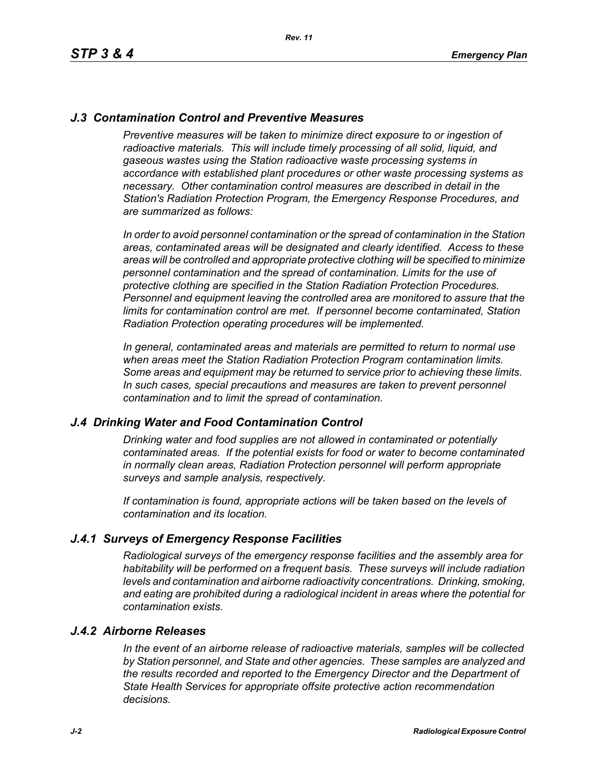# *J.3 Contamination Control and Preventive Measures*

*Preventive measures will be taken to minimize direct exposure to or ingestion of* radioactive materials. This will include timely processing of all solid, liquid, and *gaseous wastes using the Station radioactive waste processing systems in accordance with established plant procedures or other waste processing systems as necessary. Other contamination control measures are described in detail in the Station's Radiation Protection Program, the Emergency Response Procedures, and are summarized as follows:*

*In order to avoid personnel contamination or the spread of contamination in the Station areas, contaminated areas will be designated and clearly identified. Access to these areas will be controlled and appropriate protective clothing will be specified to minimize personnel contamination and the spread of contamination. Limits for the use of protective clothing are specified in the Station Radiation Protection Procedures. Personnel and equipment leaving the controlled area are monitored to assure that the limits for contamination control are met. If personnel become contaminated, Station Radiation Protection operating procedures will be implemented.* 

*In general, contaminated areas and materials are permitted to return to normal use when areas meet the Station Radiation Protection Program contamination limits. Some areas and equipment may be returned to service prior to achieving these limits. In such cases, special precautions and measures are taken to prevent personnel contamination and to limit the spread of contamination.*

### *J.4 Drinking Water and Food Contamination Control*

*Drinking water and food supplies are not allowed in contaminated or potentially contaminated areas. If the potential exists for food or water to become contaminated in normally clean areas, Radiation Protection personnel will perform appropriate surveys and sample analysis, respectively.*

*If contamination is found, appropriate actions will be taken based on the levels of contamination and its location.*

### *J.4.1 Surveys of Emergency Response Facilities*

*Radiological surveys of the emergency response facilities and the assembly area for habitability will be performed on a frequent basis. These surveys will include radiation levels and contamination and airborne radioactivity concentrations. Drinking, smoking, and eating are prohibited during a radiological incident in areas where the potential for contamination exists.*

#### *J.4.2 Airborne Releases*

*In the event of an airborne release of radioactive materials, samples will be collected by Station personnel, and State and other agencies. These samples are analyzed and the results recorded and reported to the Emergency Director and the Department of State Health Services for appropriate offsite protective action recommendation decisions.*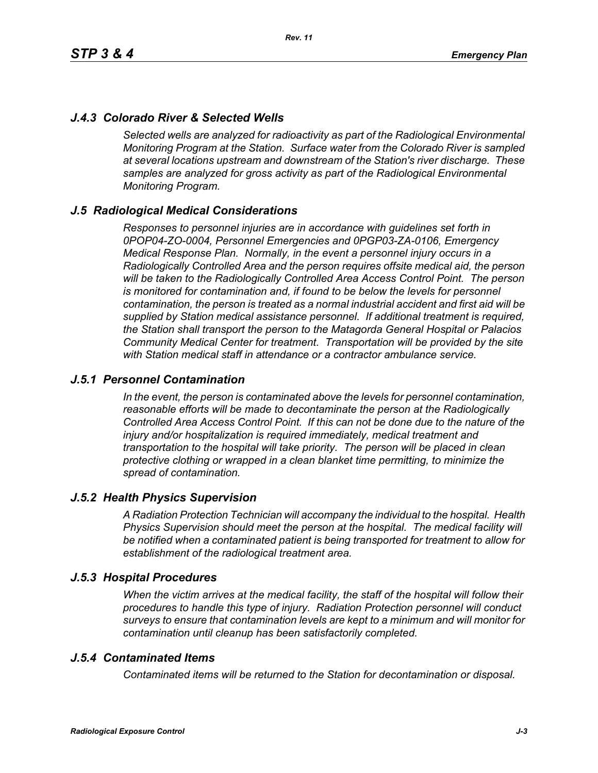# *J.4.3 Colorado River & Selected Wells*

*Selected wells are analyzed for radioactivity as part of the Radiological Environmental Monitoring Program at the Station. Surface water from the Colorado River is sampled at several locations upstream and downstream of the Station's river discharge. These samples are analyzed for gross activity as part of the Radiological Environmental Monitoring Program.*

# *J.5 Radiological Medical Considerations*

*Responses to personnel injuries are in accordance with guidelines set forth in 0POP04-ZO-0004, Personnel Emergencies and 0PGP03-ZA-0106, Emergency Medical Response Plan. Normally, in the event a personnel injury occurs in a Radiologically Controlled Area and the person requires offsite medical aid, the person will be taken to the Radiologically Controlled Area Access Control Point. The person is monitored for contamination and, if found to be below the levels for personnel contamination, the person is treated as a normal industrial accident and first aid will be supplied by Station medical assistance personnel. If additional treatment is required, the Station shall transport the person to the Matagorda General Hospital or Palacios Community Medical Center for treatment. Transportation will be provided by the site with Station medical staff in attendance or a contractor ambulance service.*

### *J.5.1 Personnel Contamination*

*In the event, the person is contaminated above the levels for personnel contamination, reasonable efforts will be made to decontaminate the person at the Radiologically Controlled Area Access Control Point. If this can not be done due to the nature of the injury and/or hospitalization is required immediately, medical treatment and transportation to the hospital will take priority. The person will be placed in clean protective clothing or wrapped in a clean blanket time permitting, to minimize the spread of contamination.*

### *J.5.2 Health Physics Supervision*

*A Radiation Protection Technician will accompany the individual to the hospital. Health Physics Supervision should meet the person at the hospital. The medical facility will be notified when a contaminated patient is being transported for treatment to allow for establishment of the radiological treatment area.*

### *J.5.3 Hospital Procedures*

*When the victim arrives at the medical facility, the staff of the hospital will follow their procedures to handle this type of injury. Radiation Protection personnel will conduct surveys to ensure that contamination levels are kept to a minimum and will monitor for contamination until cleanup has been satisfactorily completed.*

### *J.5.4 Contaminated Items*

*Contaminated items will be returned to the Station for decontamination or disposal.*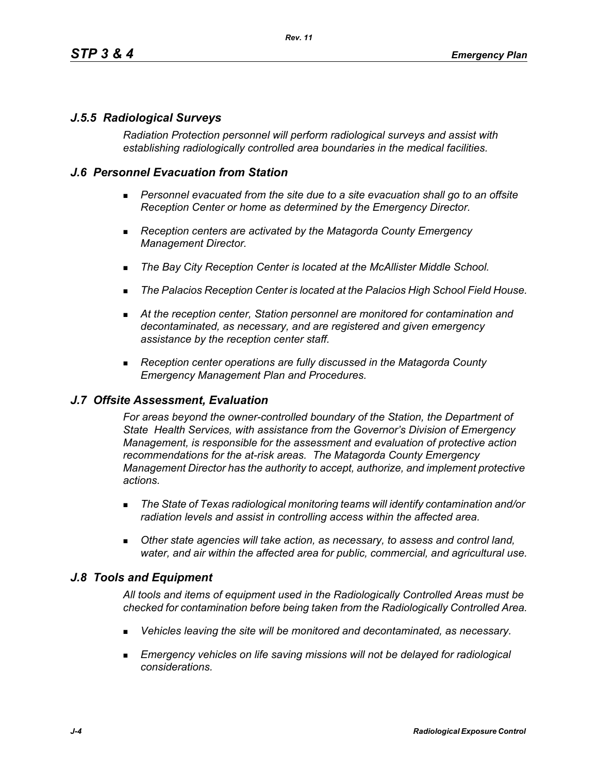# *J.5.5 Radiological Surveys*

*Radiation Protection personnel will perform radiological surveys and assist with establishing radiologically controlled area boundaries in the medical facilities.*

# *J.6 Personnel Evacuation from Station*

- **Personnel evacuated from the site due to a site evacuation shall go to an offsite** *Reception Center or home as determined by the Emergency Director.*
- *Reception centers are activated by the Matagorda County Emergency Management Director.*
- *The Bay City Reception Center is located at the McAllister Middle School.*
- *The Palacios Reception Center is located at the Palacios High School Field House.*
- *At the reception center, Station personnel are monitored for contamination and decontaminated, as necessary, and are registered and given emergency assistance by the reception center staff.*
- *Reception center operations are fully discussed in the Matagorda County Emergency Management Plan and Procedures.*

### *J.7 Offsite Assessment, Evaluation*

*For areas beyond the owner-controlled boundary of the Station, the Department of State Health Services, with assistance from the Governor's Division of Emergency Management, is responsible for the assessment and evaluation of protective action recommendations for the at-risk areas. The Matagorda County Emergency Management Director has the authority to accept, authorize, and implement protective actions.*

- *The State of Texas radiological monitoring teams will identify contamination and/or radiation levels and assist in controlling access within the affected area.*
- *Other state agencies will take action, as necessary, to assess and control land, water, and air within the affected area for public, commercial, and agricultural use.*

### *J.8 Tools and Equipment*

*All tools and items of equipment used in the Radiologically Controlled Areas must be checked for contamination before being taken from the Radiologically Controlled Area.*

- *Vehicles leaving the site will be monitored and decontaminated, as necessary.*
- **Emergency vehicles on life saving missions will not be delayed for radiological** *considerations.*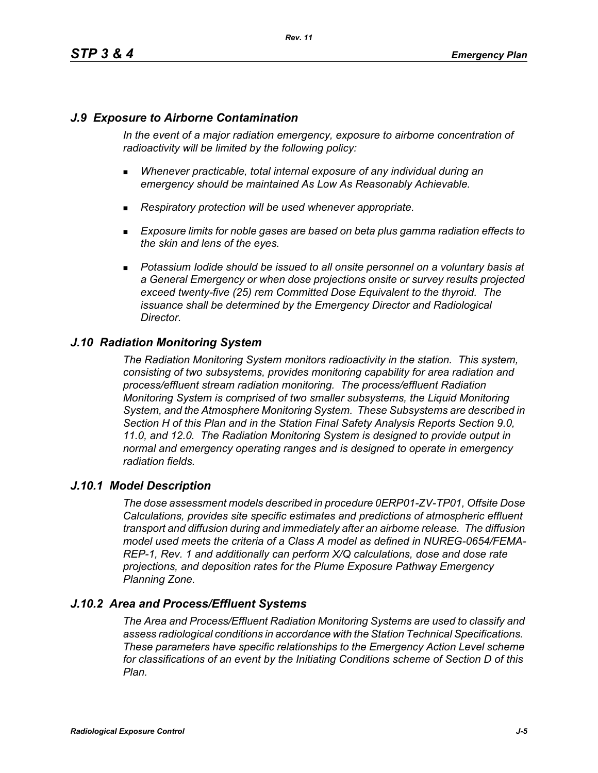# *J.9 Exposure to Airborne Contamination*

*In the event of a major radiation emergency, exposure to airborne concentration of radioactivity will be limited by the following policy:*

- *Whenever practicable, total internal exposure of any individual during an emergency should be maintained As Low As Reasonably Achievable.*
- *Respiratory protection will be used whenever appropriate.*
- *Exposure limits for noble gases are based on beta plus gamma radiation effects to the skin and lens of the eyes.*
- **Potassium Iodide should be issued to all onsite personnel on a voluntary basis at** *a General Emergency or when dose projections onsite or survey results projected exceed twenty-five (25) rem Committed Dose Equivalent to the thyroid. The issuance shall be determined by the Emergency Director and Radiological Director.*

### *J.10 Radiation Monitoring System*

*The Radiation Monitoring System monitors radioactivity in the station. This system, consisting of two subsystems, provides monitoring capability for area radiation and process/effluent stream radiation monitoring. The process/effluent Radiation Monitoring System is comprised of two smaller subsystems, the Liquid Monitoring System, and the Atmosphere Monitoring System. These Subsystems are described in Section H of this Plan and in the Station Final Safety Analysis Reports Section 9.0, 11.0, and 12.0. The Radiation Monitoring System is designed to provide output in normal and emergency operating ranges and is designed to operate in emergency radiation fields.*

### *J.10.1 Model Description*

*The dose assessment models described in procedure 0ERP01-ZV-TP01, Offsite Dose Calculations, provides site specific estimates and predictions of atmospheric effluent transport and diffusion during and immediately after an airborne release. The diffusion model used meets the criteria of a Class A model as defined in NUREG-0654/FEMA-REP-1, Rev. 1 and additionally can perform X/Q calculations, dose and dose rate projections, and deposition rates for the Plume Exposure Pathway Emergency Planning Zone.*

### *J.10.2 Area and Process/Effluent Systems*

*The Area and Process/Effluent Radiation Monitoring Systems are used to classify and assess radiological conditions in accordance with the Station Technical Specifications. These parameters have specific relationships to the Emergency Action Level scheme for classifications of an event by the Initiating Conditions scheme of Section D of this Plan.*